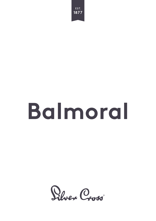

# **Balmoral**

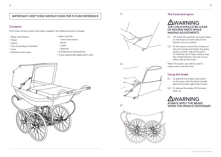### **IMPORTANT: KEEP THESE INSTRUCTIONS FOR FUTURE REFERENCE**

#### **Contents**

First check all your parts have been supplied. Your Balmoral pram includes:

- Body and Chassis
- Hood
- Apron
- Tray (including 2 brackets)
- Liner
- Mattress with cover
- After Care Kit
- Care instructions
- Brush
- Cloth
- Spanner
- Certificate of Authenticity
- 3 year guarantee application card









#### 1.1 The hood and apron

## WARNING **THE CHILD SHOULD BE CLEAR OF MOVING PARTS WHILE MAKING ADJUSTMENTS.**

- 1.1 Lift hood into position and push down on the levers on both sides of the hood to secure in place.
- 1.2 Fit the apron around the contour of the pram body and fasten the press studs on either side of the pram. To hold the storm flap in place, loop the metal fastener over the nut on either side of the hood.

Note: The apron can still be used in conjunction with the liner.

#### Using the brake

- 2.1 To operate the brake, push down on the lever with the black handle behind the back right hand wheel.
- 2.2 To release the brake, lift the lever back up.

WARNING **ALWAYS APPLY THE BRAKE WHEN THE PRAM IS STATIONARY.** 2.1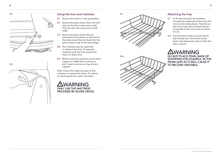



#### Using the liner and mattress

- 3.1 Ensure the hood is in the up position.
- 3.2 Secure the press studs which are half way up the liner to the press studs that are near the wing nut on both sides.
- 3.3 Secure the press studs that are attached to the elastic on the liner to the press studs that are built into the pram body on top of the back ledge.
- 4.4 The mattress can be used with or without the liner. If using the mattress with the liner ensure the liner is in place first.
- 4.5 Before inserting mattress ensure back support is folded flat as shown in 6.4. Insert mattress on top of back support.

Note: Ensure the head rest part of the mattress is nearest the hood. For advice on cleaning see the wash care label.

WARNING **ONLY USE THE MATTRESS PROVIDED BY SILVER CROSS.**





#### Attaching the tray

- 5.1 To fit the tray push the brackets through the underside of the tray and twist so the white plastic T bar lies on top of the tray. Each bracket should lie parallel to the cross wire as shown in 6.1a.
- 5.2 Pull the black hooks on each end of the bracket over the frame of the pram and release the clips so that the tray is secure.

## **AWARNING**

**DO NOT PLACE ITEMS, BAGS OF SHOPPING FOR EXAMPLE, IN THE PRAM UNIT AS IT WILL CAUSE IT TO BECOME UNSTABLE.**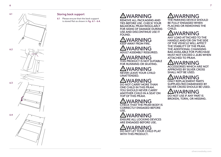

#### Storing back support

6.1 Please ensure that the back support is stored flat as shown in fig. 6.1 - 6.4.

# WARNING

**REMOVE ALL PACKAGING AND TIES BEFORE USE. CHECK YOUR BALMORAL PRAM REGULARLY FOR SIGNS OF DAMAGE DURING USE AND DISCONTINUE USE IT FOUND.**

## WARNING **KEEP AWAY FROM FIRE.**

WARNING **ADULT ASSEMBLY REQUIRED.**

WARNING **THIS PRODUCT IS NOT SUITABLE FOR RUNNING OR SKATING.**

## WARNING **NEVER LEAVE YOUR CHILD**

**UNATTENDED.**

ARNING **DO NOT CARRY MORE THAN ONE CHILD IN THIS PRAM. YOU SHOULD NEVER CARRY ANOTHER CHILD IN A SEAT ON TOP OF THIS PRAM.**

## WARNING **CHECK THAT THE PRAM BODY IS**

**CORRECTLY ENGAGED BEFORE USE.**

WARNING **ENSURE ALL LOCKING DEVICES ARE ENGAGED BEFORE USE.**

WARNING **DO NOT LET YOUR CHILD PLAY WITH THIS PRODUCT.**

WARNING **THE PARKING DEVICE SHOULD BE FULLY ENGAGED WHEN PLACING OR REMOVING THE CHILD.**

#### ΛN WARNING

**ANY LOAD ATTACHED TO THE HANDLE AND/OR ON THE SIDE OF THE VEHICLE WILL AFFECT THE STABILITY OF THE PRAM. THE ADDITIONAL CHANGING BAG AVAILABLE FOR PURCHASE MUST NOT EXCEED 2.2LBS WHEN ATTACHED TO PRAM.**

## **WARNING**

**ACCESSORIES WHICH ARE NOT APPROVED BY SILVER CROSS SHALL NOT BE USED.**

'ARNING

**ONLY REPLACEMENT PARTS SUPPLIED/RECOMMENDED BY SILVER CROSS SHOULD BE USED.**

## WARNING

**DO NOT USE IF ANY PART IS BROKEN, TORN, OR MISSING.**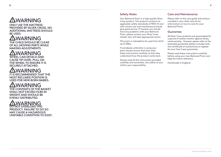# **AWARNING**

**ONLY USE THE MATTRESS PROVIDED BY SILVER CROSS. NO ADDITIONAL MATTRESS SHOULD BE USED.**

# **AWARNING**

**THE CHILD SHOULD BE CLEAR OF ALL MOVING PARTS WHILE MAKING ADJUSTMENTS.**

# WARNING

**WHEEL CAN DETACH AND CAUSE TIP OVER. PULL ON THE WHEEL TO ENSURE IT IS SECURELY ATTACHED.**

## WARNING **IT IS RECOMMENDED THAT THE**

**MOST RECLINED POSITION IS USED FOR NEW BORN BABIES.**

# WARNING

**THE CONTENTS OF THE BASKET SHALL NOT EXCEED 11LBS IN WEIGHT AND SHOULD BE EVENLY DISTRIBUTED.**

# WARNING

**DO NOT OVERLOAD THIS PRODUCT. FAILURE TO DO SO MAY CAUSE A HAZARDOUS UNSTABLE CONDITION TO EXIST.**

#### Safety Notes

Your Balmoral Pram is a high quality Silver Cross product. This product conforms to applicable safety standards of F833-15 and with correct use and maintenance should give good service. If however you should have any problems with your Balmoral Pram, please contact your Silver Cross retailer who will take appropriate action.

This pram is intended to be used from birth up to 20lbs.

If somebody unfamiliar is using your pram always ensure that they read these instructions carefully so that they understand how the product works best.

Always read all the instructions provided carefully and remember, the safety of your child is your responsibility.

#### Care and Maintenance

Please refer to the care guide instructions included in your after care kit for information on how to care for your Balmoral Pram.

#### Guarantee

All Silver Cross products are guaranteed for a period of twelve months against faulty workmanship. However please refer to the extended guarantee details included with the certificate of authenticity to register for your free 3 year guarantee.

Please read these instructions carefully before using your new Balmoral Pram and keep for future reference.

Handmade in England.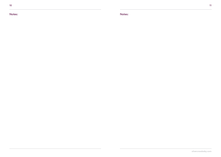Notes: Notes: